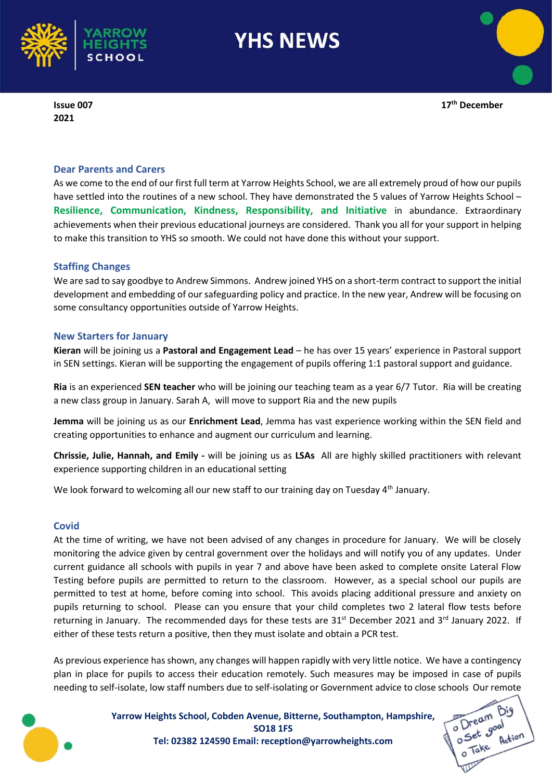

**YHS NEWS** 

**2021**

**Issue 007 17th December**

#### **Dear Parents and Carers**

As we come to the end of our first full term at Yarrow Heights School, we are all extremely proud of how our pupils have settled into the routines of a new school. They have demonstrated the 5 values of Yarrow Heights School – **Resilience, Communication, Kindness, Responsibility, and Initiative** in abundance. Extraordinary achievements when their previous educational journeys are considered. Thank you all for your support in helping to make this transition to YHS so smooth. We could not have done this without your support.

#### **Staffing Changes**

We are sad to say goodbye to Andrew Simmons. Andrew joined YHS on a short-term contract to support the initial development and embedding of our safeguarding policy and practice. In the new year, Andrew will be focusing on some consultancy opportunities outside of Yarrow Heights.

#### **New Starters for January**

**Kieran** will be joining us a **Pastoral and Engagement Lead** – he has over 15 years' experience in Pastoral support in SEN settings. Kieran will be supporting the engagement of pupils offering 1:1 pastoral support and guidance.

**Ria** is an experienced **SEN teacher** who will be joining our teaching team as a year 6/7 Tutor. Ria will be creating a new class group in January. Sarah A, will move to support Ria and the new pupils

**Jemma** will be joining us as our **Enrichment Lead**, Jemma has vast experience working within the SEN field and creating opportunities to enhance and augment our curriculum and learning.

**Chrissie, Julie, Hannah, and Emily -** will be joining us as **LSAs** All are highly skilled practitioners with relevant experience supporting children in an educational setting

We look forward to welcoming all our new staff to our training day on Tuesday  $4<sup>th</sup>$  January.

#### **Covid**

At the time of writing, we have not been advised of any changes in procedure for January. We will be closely monitoring the advice given by central government over the holidays and will notify you of any updates. Under current guidance all schools with pupils in year 7 and above have been asked to complete onsite Lateral Flow Testing before pupils are permitted to return to the classroom. However, as a special school our pupils are permitted to test at home, before coming into school. This avoids placing additional pressure and anxiety on pupils returning to school. Please can you ensure that your child completes two 2 lateral flow tests before returning in January. The recommended days for these tests are  $31<sup>st</sup>$  December 2021 and  $3<sup>rd</sup>$  January 2022. If either of these tests return a positive, then they must isolate and obtain a PCR test.

As previous experience has shown, any changes will happen rapidly with very little notice. We have a contingency plan in place for pupils to access their education remotely. Such measures may be imposed in case of pupils needing to self-isolate, low staff numbers due to self-isolating or Government advice to close schools Our remote



**Yarrow Heights School, Cobden Avenue, Bitterne, Southampton, Hampshire, SO18 1FS Tel: 02382 124590 Email: reception@yarrowheights.com**

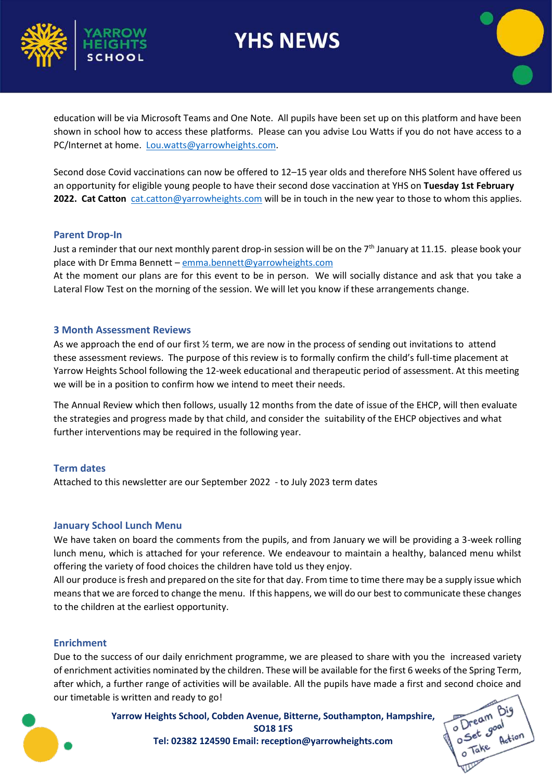

# **YHS NEWS**



education will be via Microsoft Teams and One Note. All pupils have been set up on this platform and have been shown in school how to access these platforms. Please can you advise Lou Watts if you do not have access to a PC/Internet at home. [Lou.watts@yarrowheights.com.](mailto:Lou.watts@yarrowheights.com)

Second dose Covid vaccinations can now be offered to 12–15 year olds and therefore NHS Solent have offered us an opportunity for eligible young people to have their second dose vaccination at YHS on **Tuesday 1st February 2022. Cat Catton** [cat.catton@yarrowheights.com](mailto:cat.catton@yarrowheights.com) will be in touch in the new year to those to whom this applies.

#### **Parent Drop-In**

Just a reminder that our next monthly parent drop-in session will be on the 7th January at 11.15. please book your place with Dr Emma Bennett – [emma.bennett@yarrowheights.com](mailto:emma.bennett@yarrowheights.com)

At the moment our plans are for this event to be in person. We will socially distance and ask that you take a Lateral Flow Test on the morning of the session. We will let you know if these arrangements change.

## **3 Month Assessment Reviews**

As we approach the end of our first  $\frac{1}{2}$  term, we are now in the process of sending out invitations to attend these assessment reviews. The purpose of this review is to formally confirm the child's full-time placement at Yarrow Heights School following the 12-week educational and therapeutic period of assessment. At this meeting we will be in a position to confirm how we intend to meet their needs.

The Annual Review which then follows, usually 12 months from the date of issue of the EHCP, will then evaluate the strategies and progress made by that child, and consider the suitability of the EHCP objectives and what further interventions may be required in the following year.

## **Term dates**

Attached to this newsletter are our September 2022 - to July 2023 term dates

## **January School Lunch Menu**

We have taken on board the comments from the pupils, and from January we will be providing a 3-week rolling lunch menu, which is attached for your reference. We endeavour to maintain a healthy, balanced menu whilst offering the variety of food choices the children have told us they enjoy.

All our produce is fresh and prepared on the site for that day. From time to time there may be a supply issue which means that we are forced to change the menu. If this happens, we will do our best to communicate these changes to the children at the earliest opportunity.

#### **Enrichment**

Due to the success of our daily enrichment programme, we are pleased to share with you the increased variety of enrichment activities nominated by the children. These will be available for the first 6 weeks of the Spring Term, after which, a further range of activities will be available. All the pupils have made a first and second choice and our timetable is written and ready to go!



**Yarrow Heights School, Cobden Avenue, Bitterne, Southampton, Hampshire, SO18 1FS Tel: 02382 124590 Email: reception@yarrowheights.com**